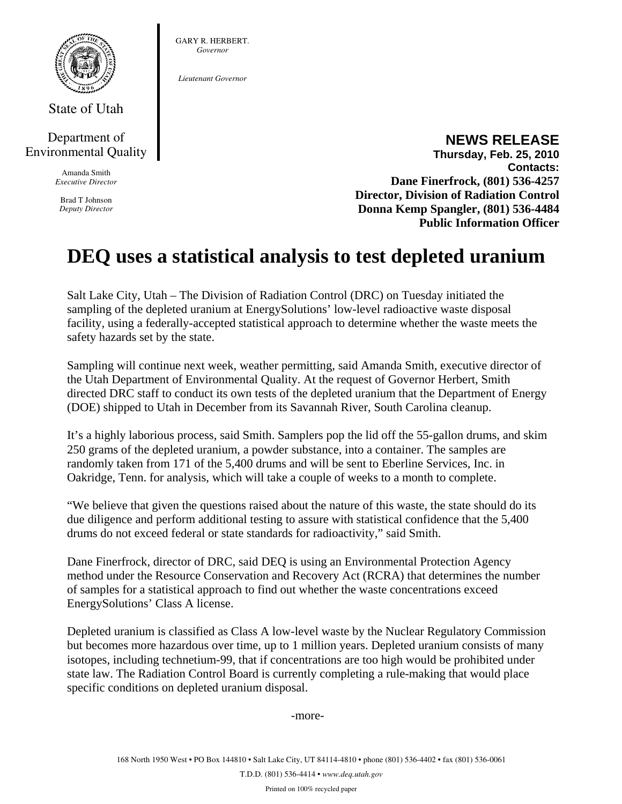

State of Utah

## Department of Environmental Quality

Amanda Smith *Executive Director* 

Brad T Johnson *Deputy Director*  GARY R. HERBERT. *Governor* 

*Lieutenant Governor* 

## **NEWS RELEASE Thursday, Feb. 25, 2010 Contacts: Dane Finerfrock, (801) 536-4257 Director, Division of Radiation Control Donna Kemp Spangler, (801) 536-4484**

**Public Information Officer** 

## **DEQ uses a statistical analysis to test depleted uranium**

Salt Lake City, Utah – The Division of Radiation Control (DRC) on Tuesday initiated the sampling of the depleted uranium at EnergySolutions' low-level radioactive waste disposal facility, using a federally-accepted statistical approach to determine whether the waste meets the safety hazards set by the state.

Sampling will continue next week, weather permitting, said Amanda Smith, executive director of the Utah Department of Environmental Quality. At the request of Governor Herbert, Smith directed DRC staff to conduct its own tests of the depleted uranium that the Department of Energy (DOE) shipped to Utah in December from its Savannah River, South Carolina cleanup.

It's a highly laborious process, said Smith. Samplers pop the lid off the 55-gallon drums, and skim 250 grams of the depleted uranium, a powder substance, into a container. The samples are randomly taken from 171 of the 5,400 drums and will be sent to Eberline Services, Inc. in Oakridge, Tenn. for analysis, which will take a couple of weeks to a month to complete.

"We believe that given the questions raised about the nature of this waste, the state should do its due diligence and perform additional testing to assure with statistical confidence that the 5,400 drums do not exceed federal or state standards for radioactivity," said Smith.

Dane Finerfrock, director of DRC, said DEQ is using an Environmental Protection Agency method under the Resource Conservation and Recovery Act (RCRA) that determines the number of samples for a statistical approach to find out whether the waste concentrations exceed EnergySolutions' Class A license.

Depleted uranium is classified as Class A low-level waste by the Nuclear Regulatory Commission but becomes more hazardous over time, up to 1 million years. Depleted uranium consists of many isotopes, including technetium-99, that if concentrations are too high would be prohibited under state law. The Radiation Control Board is currently completing a rule-making that would place specific conditions on depleted uranium disposal.

-more-

Printed on 100% recycled paper